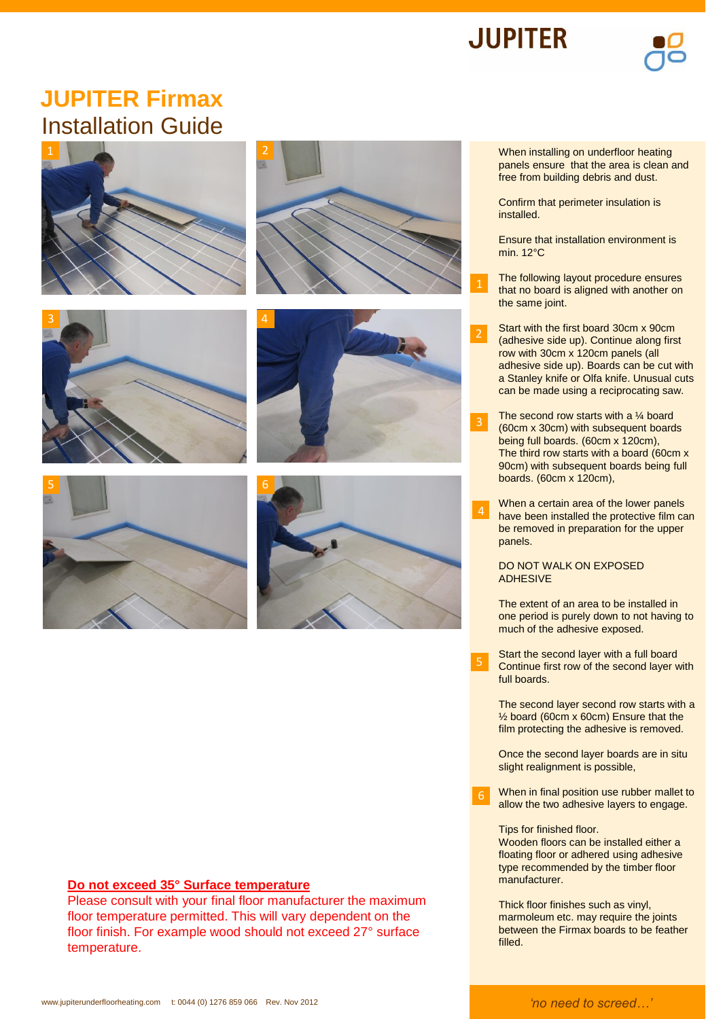



## **JUPITER Firmax** Installation Guide













## **Do not exceed 35° Surface temperature**

Please consult with your final floor manufacturer the maximum floor temperature permitted. This will vary dependent on the floor finish. For example wood should not exceed 27° surface temperature.

When installing on underfloor heating panels ensure that the area is clean and free from building debris and dust.

Confirm that perimeter insulation is installed.

Ensure that installation environment is min. 12°C

The following layout procedure ensures that no board is aligned with another on the same joint.

Start with the first board 30cm x 90cm (adhesive side up). Continue along first row with 30cm x 120cm panels (all adhesive side up). Boards can be cut with a Stanley knife or Olfa knife. Unusual cuts can be made using a reciprocating saw.

The second row starts with a  $\frac{1}{4}$  board (60cm x 30cm) with subsequent boards being full boards. (60cm x 120cm), The third row starts with a board (60cm x 90cm) with subsequent boards being full boards. (60cm x 120cm),

When a certain area of the lower panels have been installed the protective film can be removed in preparation for the upper panels. 4

## DO NOT WALK ON EXPOSED ADHESIVE

The extent of an area to be installed in one period is purely down to not having to much of the adhesive exposed.

Start the second layer with a full board Continue first row of the second layer with full boards.

The second layer second row starts with a ½ board (60cm x 60cm) Ensure that the film protecting the adhesive is removed.

Once the second layer boards are in situ slight realignment is possible,

When in final position use rubber mallet to allow the two adhesive layers to engage. 6

Tips for finished floor.

Wooden floors can be installed either a floating floor or adhered using adhesive type recommended by the timber floor manufacturer.

Thick floor finishes such as vinyl, marmoleum etc. may require the joints between the Firmax boards to be feather filled.